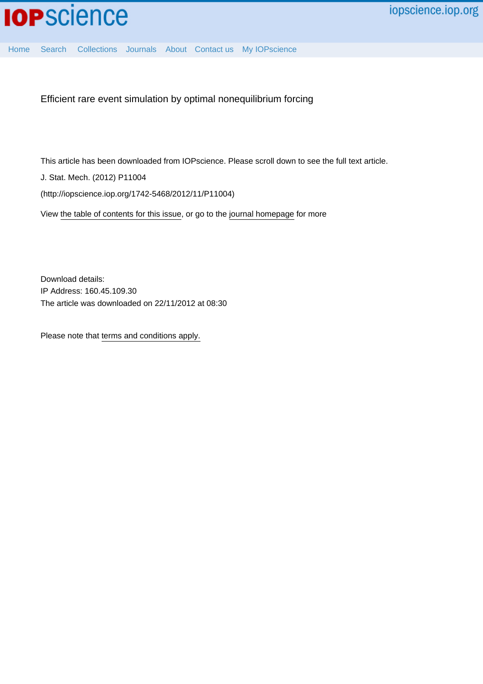

[Home](http://iopscience.iop.org/) [Search](http://iopscience.iop.org/search) [Collections](http://iopscience.iop.org/collections) [Journals](http://iopscience.iop.org/journals) [About](http://iopscience.iop.org/page/aboutioppublishing) [Contact us](http://iopscience.iop.org/contact) [My IOPscience](http://iopscience.iop.org/myiopscience)

Efficient rare event simulation by optimal nonequilibrium forcing

This article has been downloaded from IOPscience. Please scroll down to see the full text article.

J. Stat. Mech. (2012) P11004

(http://iopscience.iop.org/1742-5468/2012/11/P11004)

View [the table of contents for this issue](http://iopscience.iop.org/1742-5468/2012/11), or go to the [journal homepage](http://iopscience.iop.org/1742-5468) for more

Download details: IP Address: 160.45.109.30 The article was downloaded on 22/11/2012 at 08:30

Please note that [terms and conditions apply.](http://iopscience.iop.org/page/terms)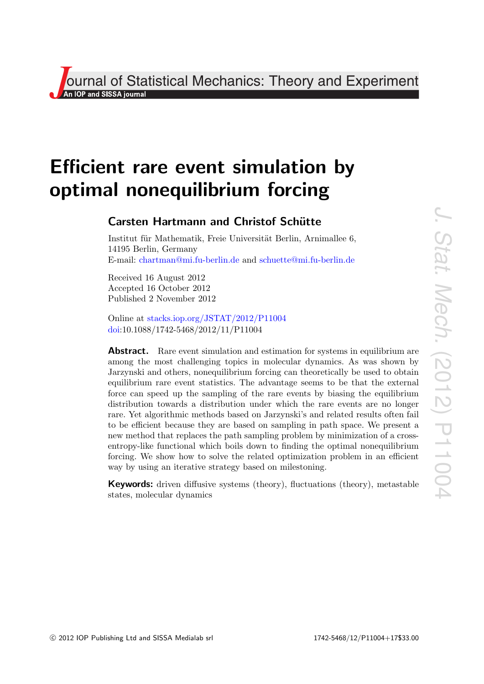**Journal of Statistical Mechanics: Theory and Experiment**<br>An lop and SISSA journal

# Efficient rare event simulation by optimal nonequilibrium forcing

# **Carsten Hartmann and Christof Schütte**

Institut für Mathematik, Freie Universität Berlin, Arnimallee 6, 14195 Berlin, Germany E-mail: [chartman@mi.fu-berlin.de](mailto:chartman@mi.fu-berlin.de) and [schuette@mi.fu-berlin.de](mailto:schuette@mi.fu-berlin.de)

Received 16 August 2012 Accepted 16 October 2012 Published 2 November 2012

Online at [stacks.iop.org/JSTAT/2012/P11004](http://stacks.iop.org/JSTAT/2012/P11004) [doi:](http://dx.doi.org/10.1088/1742-5468/2012/11/P11004)10.1088/1742-5468/2012/11/P11004

**Abstract.** Rare event simulation and estimation for systems in equilibrium are among the most challenging topics in molecular dynamics. As was shown by Jarzynski and others, nonequilibrium forcing can theoretically be used to obtain equilibrium rare event statistics. The advantage seems to be that the external force can speed up the sampling of the rare events by biasing the equilibrium distribution towards a distribution under which the rare events are no longer rare. Yet algorithmic methods based on Jarzynski's and related results often fail to be efficient because they are based on sampling in path space. We present a new method that replaces the path sampling problem by minimization of a crossentropy-like functional which boils down to finding the optimal nonequilibrium forcing. We show how to solve the related optimization problem in an efficient way by using an iterative strategy based on milestoning.

Keywords: driven diffusive systems (theory), fluctuations (theory), metastable states, molecular dynamics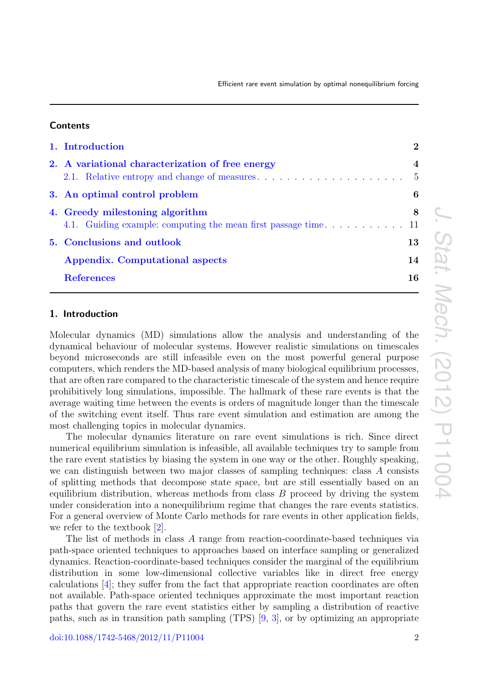### **Contents**

| 1. Introduction                                  | $\overline{2}$                   |
|--------------------------------------------------|----------------------------------|
| 2. A variational characterization of free energy | $\overline{4}$<br>$\overline{5}$ |
| 3. An optimal control problem                    | 6                                |
| 4. Greedy milestoning algorithm                  | 8                                |
| 5. Conclusions and outlook                       | 13                               |
| <b>Appendix.</b> Computational aspects           | 14                               |
| <b>References</b>                                | 16                               |

# <span id="page-2-0"></span>1. Introduction

Molecular dynamics (MD) simulations allow the analysis and understanding of the dynamical behaviour of molecular systems. However realistic simulations on timescales beyond microseconds are still infeasible even on the most powerful general purpose computers, which renders the MD-based analysis of many biological equilibrium processes, that are often rare compared to the characteristic timescale of the system and hence require prohibitively long simulations, impossible. The hallmark of these rare events is that the average waiting time between the events is orders of magnitude longer than the timescale of the switching event itself. Thus rare event simulation and estimation are among the most challenging topics in molecular dynamics.

The molecular dynamics literature on rare event simulations is rich. Since direct numerical equilibrium simulation is infeasible, all available techniques try to sample from the rare event statistics by biasing the system in one way or the other. Roughly speaking, we can distinguish between two major classes of sampling techniques: class A consists of splitting methods that decompose state space, but are still essentially based on an equilibrium distribution, whereas methods from class  $B$  proceed by driving the system under consideration into a nonequilibrium regime that changes the rare events statistics. For a general overview of Monte Carlo methods for rare events in other application fields, we refer to the textbook [\[2\]](#page-16-0).

The list of methods in class A range from reaction-coordinate-based techniques via path-space oriented techniques to approaches based on interface sampling or generalized dynamics. Reaction-coordinate-based techniques consider the marginal of the equilibrium distribution in some low-dimensional collective variables like in direct free energy calculations [\[4\]](#page-16-1); they suffer from the fact that appropriate reaction coordinates are often not available. Path-space oriented techniques approximate the most important reaction paths that govern the rare event statistics either by sampling a distribution of reactive paths, such as in transition path sampling (TPS) [\[9,](#page-16-2) [3\]](#page-16-3), or by optimizing an appropriate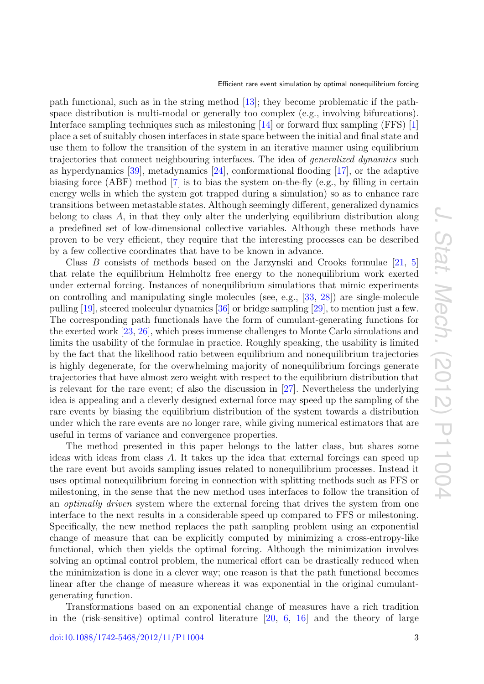path functional, such as in the string method [\[13\]](#page-16-4); they become problematic if the pathspace distribution is multi-modal or generally too complex (e.g., involving bifurcations). Interface sampling techniques such as milestoning [\[14\]](#page-16-5) or forward flux sampling (FFS) [\[1\]](#page-16-6) place a set of suitably chosen interfaces in state space between the initial and final state and use them to follow the transition of the system in an iterative manner using equilibrium trajectories that connect neighbouring interfaces. The idea of *generalized dynamics* such as hyperdynamics [\[39\]](#page-17-0), metadynamics [\[24\]](#page-16-7), conformational flooding [\[17\]](#page-16-8), or the adaptive biasing force (ABF) method [\[7\]](#page-16-9) is to bias the system on-the-fly (e.g., by filling in certain energy wells in which the system got trapped during a simulation) so as to enhance rare transitions between metastable states. Although seemingly different, generalized dynamics belong to class A, in that they only alter the underlying equilibrium distribution along a predefined set of low-dimensional collective variables. Although these methods have proven to be very efficient, they require that the interesting processes can be described by a few collective coordinates that have to be known in advance.

Class  $B$  consists of methods based on the Jarzynski and Crooks formulae [\[21,](#page-16-10) [5\]](#page-16-11) that relate the equilibrium Helmholtz free energy to the nonequilibrium work exerted under external forcing. Instances of nonequilibrium simulations that mimic experiments on controlling and manipulating single molecules (see, e.g., [\[33,](#page-17-1) [28\]](#page-16-12)) are single-molecule pulling [\[19\]](#page-16-13), steered molecular dynamics [\[36\]](#page-17-2) or bridge sampling [\[29\]](#page-16-14), to mention just a few. The corresponding path functionals have the form of cumulant-generating functions for the exerted work [\[23,](#page-16-15) [26\]](#page-16-16), which poses immense challenges to Monte Carlo simulations and limits the usability of the formulae in practice. Roughly speaking, the usability is limited by the fact that the likelihood ratio between equilibrium and nonequilibrium trajectories is highly degenerate, for the overwhelming majority of nonequilibrium forcings generate trajectories that have almost zero weight with respect to the equilibrium distribution that is relevant for the rare event; cf also the discussion in [\[27\]](#page-16-17). Nevertheless the underlying idea is appealing and a cleverly designed external force may speed up the sampling of the rare events by biasing the equilibrium distribution of the system towards a distribution under which the rare events are no longer rare, while giving numerical estimators that are useful in terms of variance and convergence properties.

The method presented in this paper belongs to the latter class, but shares some ideas with ideas from class A. It takes up the idea that external forcings can speed up the rare event but avoids sampling issues related to nonequilibrium processes. Instead it uses optimal nonequilibrium forcing in connection with splitting methods such as FFS or milestoning, in the sense that the new method uses interfaces to follow the transition of an *optimally driven* system where the external forcing that drives the system from one interface to the next results in a considerable speed up compared to FFS or milestoning. Specifically, the new method replaces the path sampling problem using an exponential change of measure that can be explicitly computed by minimizing a cross-entropy-like functional, which then yields the optimal forcing. Although the minimization involves solving an optimal control problem, the numerical effort can be drastically reduced when the minimization is done in a clever way; one reason is that the path functional becomes linear after the change of measure whereas it was exponential in the original cumulantgenerating function.

Transformations based on an exponential change of measures have a rich tradition in the (risk-sensitive) optimal control literature [\[20,](#page-16-18) [6,](#page-16-19) [16\]](#page-16-20) and the theory of large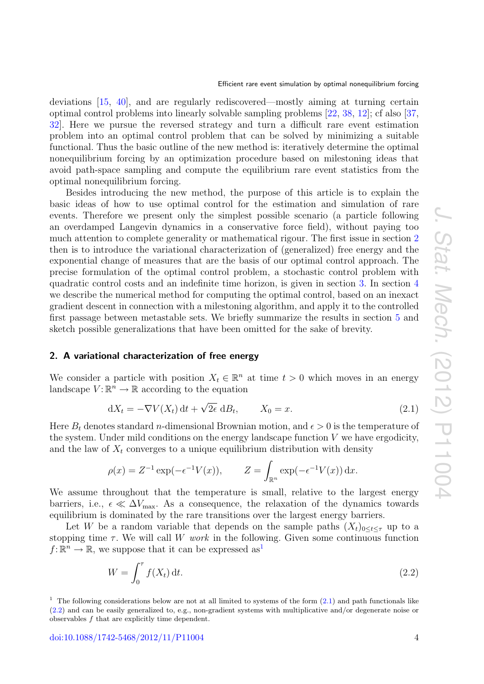deviations [\[15,](#page-16-21) [40\]](#page-17-3), and are regularly rediscovered—mostly aiming at turning certain optimal control problems into linearly solvable sampling problems [\[22,](#page-16-22) [38,](#page-17-4) [12\]](#page-16-23); cf also [\[37,](#page-17-5) [32\]](#page-17-6). Here we pursue the reversed strategy and turn a difficult rare event estimation problem into an optimal control problem that can be solved by minimizing a suitable functional. Thus the basic outline of the new method is: iteratively determine the optimal nonequilibrium forcing by an optimization procedure based on milestoning ideas that avoid path-space sampling and compute the equilibrium rare event statistics from the optimal nonequilibrium forcing.

Besides introducing the new method, the purpose of this article is to explain the basic ideas of how to use optimal control for the estimation and simulation of rare events. Therefore we present only the simplest possible scenario (a particle following an overdamped Langevin dynamics in a conservative force field), without paying too much attention to complete generality or mathematical rigour. The first issue in section [2](#page-4-0) then is to introduce the variational characterization of (generalized) free energy and the exponential change of measures that are the basis of our optimal control approach. The precise formulation of the optimal control problem, a stochastic control problem with quadratic control costs and an indefinite time horizon, is given in section [3.](#page-6-0) In section [4](#page-8-0) we describe the numerical method for computing the optimal control, based on an inexact gradient descent in connection with a milestoning algorithm, and apply it to the controlled first passage between metastable sets. We briefly summarize the results in section [5](#page-13-0) and sketch possible generalizations that have been omitted for the sake of brevity.

#### <span id="page-4-0"></span>2. A variational characterization of free energy

We consider a particle with position  $X_t \in \mathbb{R}^n$  at time  $t > 0$  which moves in an energy landscape  $V: \mathbb{R}^n \to \mathbb{R}$  according to the equation

<span id="page-4-2"></span>
$$
dX_t = -\nabla V(X_t) dt + \sqrt{2\epsilon} dB_t, \qquad X_0 = x.
$$
\n(2.1)

Here  $B_t$  denotes standard *n*-dimensional Brownian motion, and  $\epsilon > 0$  is the temperature of the system. Under mild conditions on the energy landscape function  $V$  we have ergodicity, and the law of  $X_t$  converges to a unique equilibrium distribution with density

$$
\rho(x) = Z^{-1} \exp(-\epsilon^{-1} V(x)), \qquad Z = \int_{\mathbb{R}^n} \exp(-\epsilon^{-1} V(x)) dx.
$$

We assume throughout that the temperature is small, relative to the largest energy barriers, i.e.,  $\epsilon \ll \Delta V_{\text{max}}$ . As a consequence, the relaxation of the dynamics towards equilibrium is dominated by the rare transitions over the largest energy barriers.

Let W be a random variable that depends on the sample paths  $(X_t)_{0 \leq t \leq \tau}$  up to a stopping time  $\tau$ . We will call W work in the following. Given some continuous function  $f: \mathbb{R}^n \to \mathbb{R}$ , we suppose that it can be expressed as<sup>[1](#page-4-1)</sup>

<span id="page-4-3"></span>
$$
W = \int_0^\tau f(X_t) \, \mathrm{d}t. \tag{2.2}
$$

<span id="page-4-1"></span><sup>1</sup> The following considerations below are not at all limited to systems of the form  $(2.1)$  and path functionals like [\(2.2\)](#page-4-3) and can be easily generalized to, e.g., non-gradient systems with multiplicative and/or degenerate noise or observables f that are explicitly time dependent.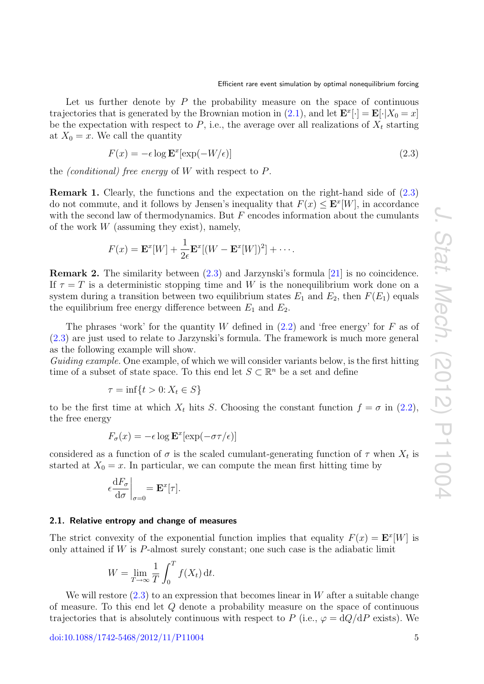Let us further denote by  $P$  the probability measure on the space of continuous trajectories that is generated by the Brownian motion in [\(2.1\)](#page-4-2), and let  $\mathbf{E}^x[\cdot] = \mathbf{E}[\cdot|X_0 = x]$ be the expectation with respect to  $P$ , i.e., the average over all realizations of  $X_t$  starting at  $X_0 = x$ . We call the quantity

<span id="page-5-1"></span>
$$
F(x) = -\epsilon \log \mathbf{E}^x[\exp(-W/\epsilon)] \tag{2.3}
$$

the *(conditional)* free energy of W with respect to  $P$ .

Remark 1. Clearly, the functions and the expectation on the right-hand side of [\(2.3\)](#page-5-1) do not commute, and it follows by Jensen's inequality that  $F(x) \leq \mathbf{E}^{x}[W]$ , in accordance with the second law of thermodynamics. But  $F$  encodes information about the cumulants of the work  $W$  (assuming they exist), namely,

$$
F(x) = \mathbf{E}^x[W] + \frac{1}{2\epsilon} \mathbf{E}^x[(W - \mathbf{E}^x[W])^2] + \cdots
$$

Remark 2. The similarity between [\(2.3\)](#page-5-1) and Jarzynski's formula [\[21\]](#page-16-10) is no coincidence. If  $\tau = T$  is a deterministic stopping time and W is the nonequilibrium work done on a system during a transition between two equilibrium states  $E_1$  and  $E_2$ , then  $F(E_1)$  equals the equilibrium free energy difference between  $E_1$  and  $E_2$ .

The phrases 'work' for the quantity  $W$  defined in  $(2.2)$  and 'free energy' for  $F$  as of [\(2.3\)](#page-5-1) are just used to relate to Jarzynski's formula. The framework is much more general as the following example will show.

Guiding example. One example, of which we will consider variants below, is the first hitting time of a subset of state space. To this end let  $S \subset \mathbb{R}^n$  be a set and define

$$
\tau = \inf\{t > 0: X_t \in S\}
$$

to be the first time at which  $X_t$  hits S. Choosing the constant function  $f = \sigma$  in [\(2.2\)](#page-4-3), the free energy

$$
F_{\sigma}(x) = -\epsilon \log \mathbf{E}^{x}[\exp(-\sigma \tau/\epsilon)]
$$

considered as a function of  $\sigma$  is the scaled cumulant-generating function of  $\tau$  when  $X_t$  is started at  $X_0 = x$ . In particular, we can compute the mean first hitting time by

$$
\left. \epsilon \frac{\mathrm{d} F_{\sigma}}{\mathrm{d} \sigma} \right|_{\sigma=0} = \mathbf{E}^x[\tau].
$$

#### <span id="page-5-0"></span>2.1. Relative entropy and change of measures

The strict convexity of the exponential function implies that equality  $F(x) = \mathbf{E}^{x}[W]$  is only attained if  $W$  is  $P$ -almost surely constant; one such case is the adiabatic limit

$$
W = \lim_{T \to \infty} \frac{1}{T} \int_0^T f(X_t) dt.
$$

We will restore  $(2.3)$  to an expression that becomes linear in W after a suitable change of measure. To this end let Q denote a probability measure on the space of continuous trajectories that is absolutely continuous with respect to P (i.e.,  $\varphi = dQ/dP$  exists). We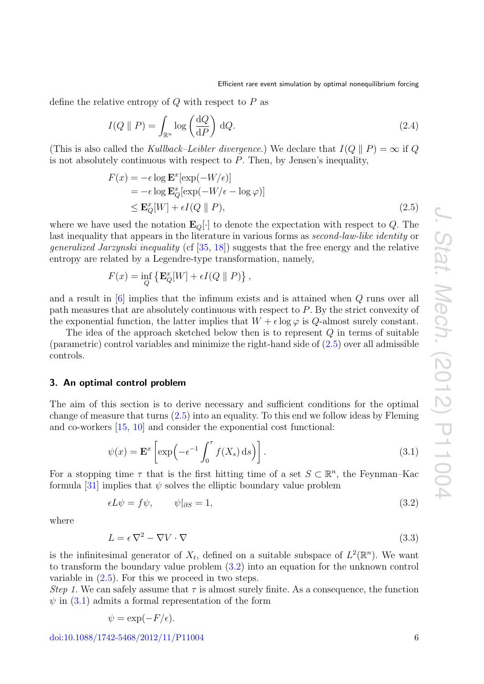define the relative entropy of  $Q$  with respect to  $P$  as

<span id="page-6-4"></span>
$$
I(Q \parallel P) = \int_{\mathbb{R}^n} \log \left( \frac{\mathrm{d}Q}{\mathrm{d}P} \right) \mathrm{d}Q. \tag{2.4}
$$

(This is also called the Kullback–Leibler divergence.) We declare that  $I(Q \parallel P) = \infty$  if Q is not absolutely continuous with respect to  $P$ . Then, by Jensen's inequality,

<span id="page-6-1"></span>
$$
F(x) = -\epsilon \log \mathbf{E}^x[\exp(-W/\epsilon)]
$$
  
=  $-\epsilon \log \mathbf{E}_Q^x[\exp(-W/\epsilon - \log \varphi)]$   
 $\leq \mathbf{E}_Q^x[W] + \epsilon I(Q \parallel P),$  (2.5)

where we have used the notation  $\mathbf{E}_Q[\cdot]$  to denote the expectation with respect to Q. The last inequality that appears in the literature in various forms as *second-law-like identity* or generalized Jarzynski inequality (cf [\[35,](#page-17-7) [18\]](#page-16-24)) suggests that the free energy and the relative entropy are related by a Legendre-type transformation, namely,

$$
F(x) = \inf_{Q} \{ \mathbf{E}_Q^x[W] + \epsilon I(Q \parallel P) \},
$$

and a result in [\[6\]](#page-16-19) implies that the infimum exists and is attained when Q runs over all path measures that are absolutely continuous with respect to P. By the strict convexity of the exponential function, the latter implies that  $W + \epsilon \log \varphi$  is Q-almost surely constant.

The idea of the approach sketched below then is to represent Q in terms of suitable (parametric) control variables and minimize the right-hand side of  $(2.5)$  over all admissible controls.

#### <span id="page-6-0"></span>3. An optimal control problem

The aim of this section is to derive necessary and sufficient conditions for the optimal change of measure that turns [\(2.5\)](#page-6-1) into an equality. To this end we follow ideas by Fleming and co-workers [\[15,](#page-16-21) [10\]](#page-16-25) and consider the exponential cost functional:

<span id="page-6-3"></span>
$$
\psi(x) = \mathbf{E}^x \left[ \exp\left( -\epsilon^{-1} \int_0^{\tau} f(X_s) \, ds \right) \right]. \tag{3.1}
$$

For a stopping time  $\tau$  that is the first hitting time of a set  $S \subset \mathbb{R}^n$ , the Feynman–Kac formula [\[31\]](#page-17-8) implies that  $\psi$  solves the elliptic boundary value problem

<span id="page-6-2"></span>
$$
\epsilon L \psi = f \psi, \qquad \psi|_{\partial S} = 1,\tag{3.2}
$$

where

$$
L = \epsilon \nabla^2 - \nabla V \cdot \nabla \tag{3.3}
$$

is the infinitesimal generator of  $X_t$ , defined on a suitable subspace of  $L^2(\mathbb{R}^n)$ . We want to transform the boundary value problem [\(3.2\)](#page-6-2) into an equation for the unknown control variable in  $(2.5)$ . For this we proceed in two steps.

Step 1. We can safely assume that  $\tau$  is almost surely finite. As a consequence, the function  $\psi$  in [\(3.1\)](#page-6-3) admits a formal representation of the form

$$
\psi = \exp(-F/\epsilon).
$$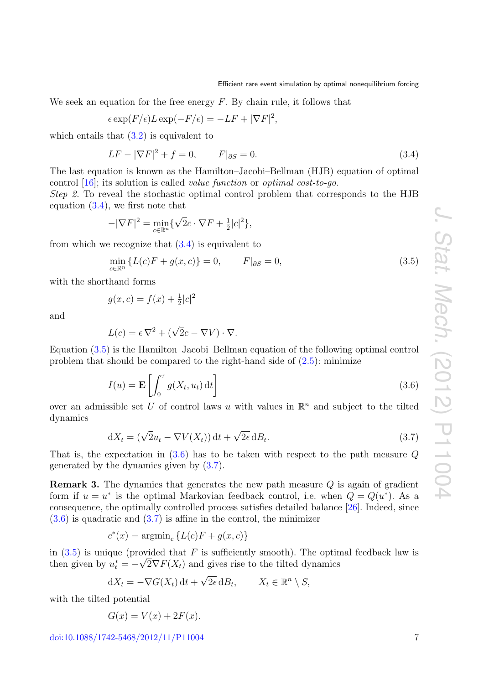We seek an equation for the free energy  $F$ . By chain rule, it follows that

$$
\epsilon \exp(F/\epsilon)L \exp(-F/\epsilon) = -LF + |\nabla F|^2,
$$

which entails that  $(3.2)$  is equivalent to

<span id="page-7-0"></span>
$$
LF - |\nabla F|^2 + f = 0, \qquad F|_{\partial S} = 0. \tag{3.4}
$$

The last equation is known as the Hamilton–Jacobi–Bellman (HJB) equation of optimal control [\[16\]](#page-16-20); its solution is called value function or optimal cost-to-go.

Step 2. To reveal the stochastic optimal control problem that corresponds to the HJB equation  $(3.4)$ , we first note that

$$
-|\nabla F|^2 = \min_{c \in \mathbb{R}^n} \{ \sqrt{2}c \cdot \nabla F + \frac{1}{2}|c|^2 \},\
$$

from which we recognize that  $(3.4)$  is equivalent to

<span id="page-7-1"></span>
$$
\min_{c \in \mathbb{R}^n} \{ L(c)F + g(x, c) \} = 0, \qquad F|_{\partial S} = 0,
$$
\n(3.5)

with the shorthand forms

$$
g(x, c) = f(x) + \frac{1}{2}|c|^2
$$

and

$$
L(c) = \epsilon \nabla^2 + (\sqrt{2}c - \nabla V) \cdot \nabla.
$$

Equation [\(3.5\)](#page-7-1) is the Hamilton–Jacobi–Bellman equation of the following optimal control problem that should be compared to the right-hand side of  $(2.5)$ : minimize

<span id="page-7-2"></span>
$$
I(u) = \mathbf{E}\left[\int_0^{\tau} g(X_t, u_t) dt\right]
$$
\n(3.6)

over an admissible set U of control laws u with values in  $\mathbb{R}^n$  and subject to the tilted dynamics

<span id="page-7-3"></span>
$$
dX_t = (\sqrt{2}u_t - \nabla V(X_t)) dt + \sqrt{2\epsilon} dB_t.
$$
\n(3.7)

That is, the expectation in  $(3.6)$  has to be taken with respect to the path measure Q generated by the dynamics given by [\(3.7\)](#page-7-3).

Remark 3. The dynamics that generates the new path measure Q is again of gradient form if  $u = u^*$  is the optimal Markovian feedback control, i.e. when  $Q = Q(u^*)$ . As a consequence, the optimally controlled process satisfies detailed balance [\[26\]](#page-16-16). Indeed, since  $(3.6)$  is quadratic and  $(3.7)$  is affine in the control, the minimizer

$$
c^*(x) = \operatorname{argmin}_c \{ L(c)F + g(x, c) \}
$$

in [\(3.5\)](#page-7-1) is unique (provided that F is sufficiently smooth). The optimal feedback law is then given by  $u_t^* = -\sqrt{2} \nabla F(X_t)$  and gives rise to the tilted dynamics

$$
dX_t = -\nabla G(X_t) dt + \sqrt{2\epsilon} dB_t, \qquad X_t \in \mathbb{R}^n \setminus S,
$$

with the tilted potential

$$
G(x) = V(x) + 2F(x).
$$

 $\frac{\text{doi:10.1088}}{1742 - 5468} \cdot \frac{2012}{11} \cdot \text{P11004}$  7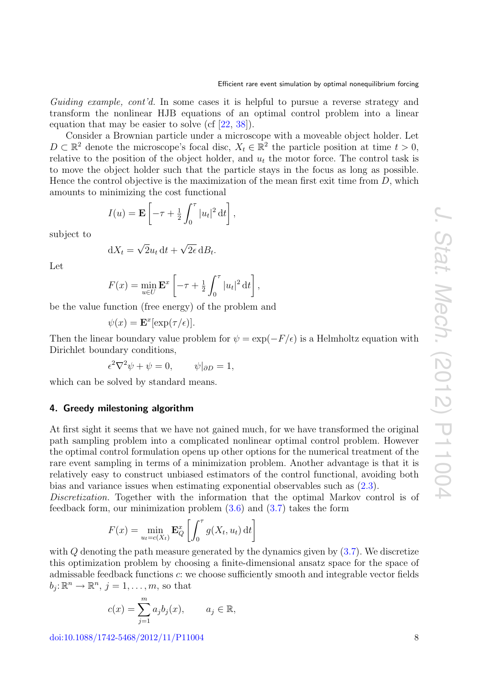Guiding example, cont'd. In some cases it is helpful to pursue a reverse strategy and transform the nonlinear HJB equations of an optimal control problem into a linear equation that may be easier to solve (cf  $[22, 38]$  $[22, 38]$  $[22, 38]$ ).

Consider a Brownian particle under a microscope with a moveable object holder. Let D ⊂  $\mathbb{R}^2$  denote the microscope's focal disc,  $X_t \in \mathbb{R}^2$  the particle position at time  $t > 0$ , relative to the position of the object holder, and  $u_t$  the motor force. The control task is to move the object holder such that the particle stays in the focus as long as possible. Hence the control objective is the maximization of the mean first exit time from  $D$ , which amounts to minimizing the cost functional

$$
I(u) = \mathbf{E}\left[-\tau + \frac{1}{2}\int_0^\tau |u_t|^2 dt\right],
$$

subject to

$$
dX_t = \sqrt{2}u_t dt + \sqrt{2\epsilon} dB_t.
$$

Let

$$
F(x) = \min_{u \in U} \mathbf{E}^x \left[ -\tau + \frac{1}{2} \int_0^{\tau} |u_t|^2 dt \right],
$$

be the value function (free energy) of the problem and

$$
\psi(x) = \mathbf{E}^x[\exp(\tau/\epsilon)].
$$

Then the linear boundary value problem for  $\psi = \exp(-F/\epsilon)$  is a Helmholtz equation with Dirichlet boundary conditions,

$$
\epsilon^2 \nabla^2 \psi + \psi = 0, \qquad \psi|_{\partial D} = 1,
$$

<span id="page-8-0"></span>which can be solved by standard means.

# 4. Greedy milestoning algorithm

At first sight it seems that we have not gained much, for we have transformed the original path sampling problem into a complicated nonlinear optimal control problem. However the optimal control formulation opens up other options for the numerical treatment of the rare event sampling in terms of a minimization problem. Another advantage is that it is relatively easy to construct unbiased estimators of the control functional, avoiding both bias and variance issues when estimating exponential observables such as [\(2.3\)](#page-5-1).

Discretization. Together with the information that the optimal Markov control is of feedback form, our minimization problem  $(3.6)$  and  $(3.7)$  takes the form

$$
F(x) = \min_{u_t = c(X_t)} \mathbf{E}_Q^x \left[ \int_0^{\tau} g(X_t, u_t) dt \right]
$$

with  $Q$  denoting the path measure generated by the dynamics given by  $(3.7)$ . We discretize this optimization problem by choosing a finite-dimensional ansatz space for the space of admissable feedback functions c: we choose sufficiently smooth and integrable vector fields  $b_j: \mathbb{R}^n \to \mathbb{R}^n$ ,  $j = 1, \ldots, m$ , so that

$$
c(x) = \sum_{j=1}^{m} a_j b_j(x), \qquad a_j \in \mathbb{R},
$$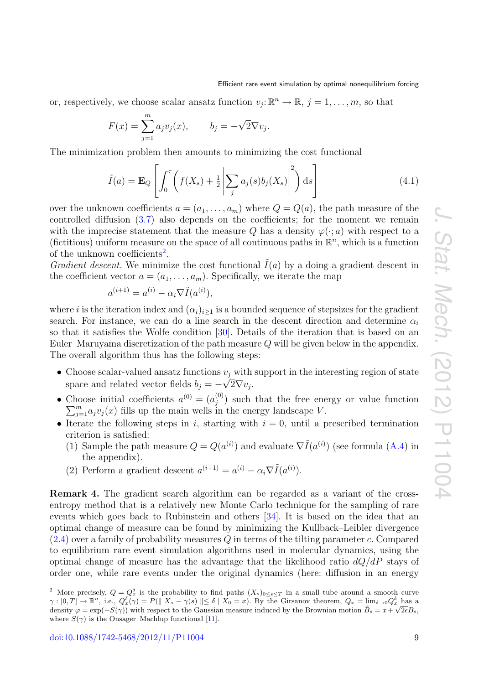or, respectively, we choose scalar ansatz function  $v_j: \mathbb{R}^n \to \mathbb{R}, j = 1, \ldots, m$ , so that

$$
F(x) = \sum_{j=1}^{m} a_j v_j(x), \qquad b_j = -\sqrt{2} \nabla v_j.
$$

The minimization problem then amounts to minimizing the cost functional

<span id="page-9-1"></span>
$$
\tilde{I}(a) = \mathbf{E}_Q \left[ \int_0^{\tau} \left( f(X_s) + \frac{1}{2} \left| \sum_j a_j(s) b_j(X_s) \right|^2 \right) ds \right]
$$
\n(4.1)

over the unknown coefficients  $a = (a_1, \ldots, a_m)$  where  $Q = Q(a)$ , the path measure of the controlled diffusion [\(3.7\)](#page-7-3) also depends on the coefficients; for the moment we remain with the imprecise statement that the measure Q has a density  $\varphi(\cdot; a)$  with respect to a (fictitious) uniform measure on the space of all continuous paths in  $\mathbb{R}^n$ , which is a function of the unknown coefficients<sup>[2](#page-9-0)</sup>.

*Gradient descent.* We minimize the cost functional  $\tilde{I}(a)$  by a doing a gradient descent in the coefficient vector  $a = (a_1, \ldots, a_m)$ . Specifically, we iterate the map

$$
a^{(i+1)} = a^{(i)} - \alpha_i \nabla \tilde{I}(a^{(i)}),
$$

where i is the iteration index and  $(\alpha_i)_{i\geq 1}$  is a bounded sequence of stepsizes for the gradient search. For instance, we can do a line search in the descent direction and determine  $\alpha_i$ so that it satisfies the Wolfe condition [\[30\]](#page-16-26). Details of the iteration that is based on an Euler–Maruyama discretization of the path measure Q will be given below in the appendix. The overall algorithm thus has the following steps:

- Choose scalar-valued ansatz functions  $v_j$  with support in the interesting region of state space and related vector fields  $b_j = -\sqrt{2} \nabla v_j$ .
- Choose initial coefficients  $a^{(0)} = (a_i^{(0)})$  $j^{(0)}$  such that the free energy or value function  $\sum_{j=1}^{m} a_j v_j(x)$  fills up the main wells in the energy landscape V.
- Iterate the following steps in i, starting with  $i = 0$ , until a prescribed termination criterion is satisfied:
	- (1) Sample the path measure  $Q = Q(a^{(i)})$  and evaluate  $\nabla \tilde{I}(a^{(i)})$  (see formula [\(A.4\)](#page-15-1) in the appendix).
	- (2) Perform a gradient descent  $a^{(i+1)} = a^{(i)} \alpha_i \nabla \tilde{I}(a^{(i)})$ .

Remark 4. The gradient search algorithm can be regarded as a variant of the crossentropy method that is a relatively new Monte Carlo technique for the sampling of rare events which goes back to Rubinstein and others [\[34\]](#page-17-9). It is based on the idea that an optimal change of measure can be found by minimizing the Kullback–Leibler divergence  $(2.4)$  over a family of probability measures Q in terms of the tilting parameter c. Compared to equilibrium rare event simulation algorithms used in molecular dynamics, using the optimal change of measure has the advantage that the likelihood ratio  $dQ/dP$  stays of order one, while rare events under the original dynamics (here: diffusion in an energy

<span id="page-9-0"></span><sup>&</sup>lt;sup>2</sup> More precisely,  $Q = Q_x^{\delta}$  is the probability to find paths  $(X_s)_{0 \le s \le T}$  in a small tube around a smooth curve  $\gamma: [0, T] \to \mathbb{R}^n$ , i.e.,  $Q_x^{\delta}(\gamma) = P(||X_s - \gamma(s)|| \le \delta \mid X_0 = x)$ . By the Girsanov theorem,  $Q_x = \lim_{z \to 0} Q_x^{\delta}$  has a density  $\varphi = \exp(-S(\gamma))$  with respect to the Gaussian measure induced by the Brownian motion  $\tilde{B}_s = x + \sqrt{2\epsilon}B_s$ , where  $S(\gamma)$  is the Onsager–Machlup functional [\[11\]](#page-16-27).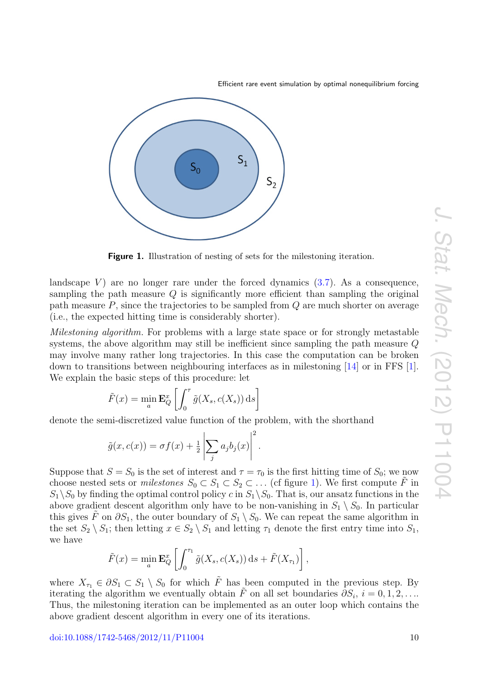<span id="page-10-0"></span>

Figure 1. Illustration of nesting of sets for the milestoning iteration.

landscape V) are no longer rare under the forced dynamics  $(3.7)$ . As a consequence, sampling the path measure  $Q$  is significantly more efficient than sampling the original path measure  $P$ , since the trajectories to be sampled from  $Q$  are much shorter on average (i.e., the expected hitting time is considerably shorter).

Milestoning algorithm. For problems with a large state space or for strongly metastable systems, the above algorithm may still be inefficient since sampling the path measure Q may involve many rather long trajectories. In this case the computation can be broken down to transitions between neighbouring interfaces as in milestoning [\[14\]](#page-16-5) or in FFS [\[1\]](#page-16-6). We explain the basic steps of this procedure: let

$$
\tilde{F}(x) = \min_{a} \mathbf{E}_{Q}^{x} \left[ \int_{0}^{\tau} \tilde{g}(X_{s}, c(X_{s})) \, ds \right]
$$

denote the semi-discretized value function of the problem, with the shorthand

$$
\tilde{g}(x, c(x)) = \sigma f(x) + \frac{1}{2} \left| \sum_{j} a_j b_j(x) \right|^2.
$$

Suppose that  $S = S_0$  is the set of interest and  $\tau = \tau_0$  is the first hitting time of  $S_0$ ; we now choose nested sets or *milestones*  $S_0 \subset S_1 \subset S_2 \subset \ldots$  (cf figure [1\)](#page-10-0). We first compute  $\tilde{F}$  in  $S_1 \backslash S_0$  by finding the optimal control policy c in  $S_1 \backslash S_0$ . That is, our ansatz functions in the above gradient descent algorithm only have to be non-vanishing in  $S_1 \setminus S_0$ . In particular this gives  $\tilde{F}$  on  $\partial S_1$ , the outer boundary of  $S_1 \setminus S_0$ . We can repeat the same algorithm in the set  $S_2 \setminus S_1$ ; then letting  $x \in S_2 \setminus S_1$  and letting  $\tau_1$  denote the first entry time into  $S_1$ , we have

$$
\tilde{F}(x) = \min_{a} \mathbf{E}_{Q}^{x} \left[ \int_{0}^{\tau_1} \tilde{g}(X_s, c(X_s)) ds + \tilde{F}(X_{\tau_1}) \right],
$$

where  $X_{\tau_1} \in \partial S_1 \subset S_1 \setminus S_0$  for which  $\tilde{F}$  has been computed in the previous step. By iterating the algorithm we eventually obtain  $\tilde{F}$  on all set boundaries  $\partial S_i$ ,  $i = 0, 1, 2, \ldots$ Thus, the milestoning iteration can be implemented as an outer loop which contains the above gradient descent algorithm in every one of its iterations.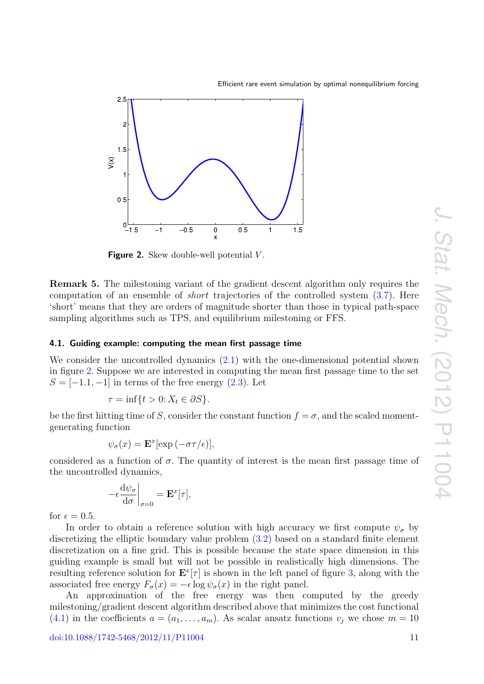

<span id="page-11-1"></span>

**Figure 2.** Skew double-well potential  $V$ .

Remark 5. The milestoning variant of the gradient descent algorithm only requires the computation of an ensemble of short trajectories of the controlled system [\(3.7\)](#page-7-3). Here 'short' means that they are orders of magnitude shorter than those in typical path-space sampling algorithms such as TPS, and equilibrium milestoning or FFS.

#### <span id="page-11-0"></span>4.1. Guiding example: computing the mean first passage time

We consider the uncontrolled dynamics [\(2.1\)](#page-4-2) with the one-dimensional potential shown in figure [2.](#page-11-1) Suppose we are interested in computing the mean first passage time to the set  $S = [-1.1, -1]$  in terms of the free energy  $(2.3)$ . Let

$$
\tau = \inf\{t > 0 : X_t \in \partial S\}.
$$

be the first hitting time of S, consider the constant function  $f = \sigma$ , and the scaled momentgenerating function

$$
\psi_{\sigma}(x) = \mathbf{E}^x[\exp(-\sigma \tau/\epsilon)],
$$

considered as a function of  $\sigma$ . The quantity of interest is the mean first passage time of the uncontrolled dynamics,

$$
-\epsilon \frac{\mathrm{d}\psi_{\sigma}}{\mathrm{d}\sigma}\bigg|_{\sigma=0} = \mathbf{E}^x[\tau],
$$

for  $\epsilon = 0.5$ .

In order to obtain a reference solution with high accuracy we first compute  $\psi_{\sigma}$  by discretizing the elliptic boundary value problem [\(3.2\)](#page-6-2) based on a standard finite element discretization on a fine grid. This is possible because the state space dimension in this guiding example is small but will not be possible in realistically high dimensions. The resulting reference solution for  $\mathbf{E}^x[\tau]$  is shown in the left panel of figure [3,](#page-12-0) along with the associated free energy  $F_{\sigma}(x) = -\epsilon \log \psi_{\sigma}(x)$  in the right panel.

An approximation of the free energy was then computed by the greedy milestoning/gradient descent algorithm described above that minimizes the cost functional  $(4.1)$  in the coefficients  $a = (a_1, \ldots, a_m)$ . As scalar ansatz functions  $v_i$  we chose  $m = 10$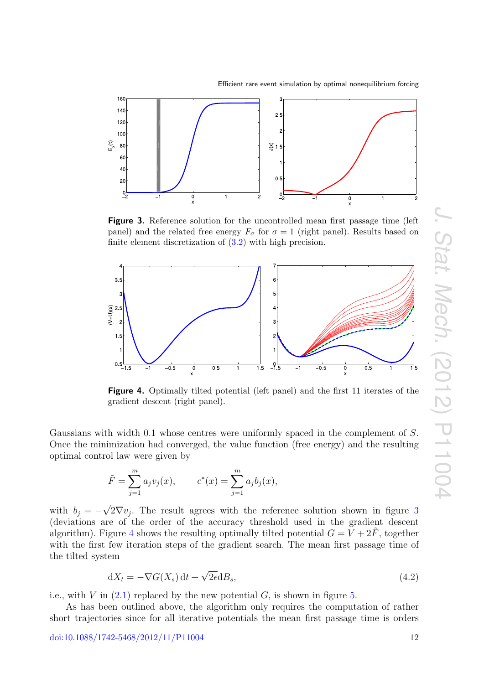

<span id="page-12-0"></span>

Figure 3. Reference solution for the uncontrolled mean first passage time (left panel) and the related free energy  $F_{\sigma}$  for  $\sigma = 1$  (right panel). Results based on finite element discretization of [\(3.2\)](#page-6-2) with high precision.

<span id="page-12-1"></span>

Figure 4. Optimally tilted potential (left panel) and the first 11 iterates of the gradient descent (right panel).

Gaussians with width 0.1 whose centres were uniformly spaced in the complement of S. Once the minimization had converged, the value function (free energy) and the resulting optimal control law were given by

$$
\tilde{F} = \sum_{j=1}^{m} a_j v_j(x), \qquad c^*(x) = \sum_{j=1}^{m} a_j b_j(x),
$$

with  $b_j = -$ √  $2\nabla v_j$ . The result agrees with the reference solution shown in figure [3](#page-12-0) (deviations are of the order of the accuracy threshold used in the gradient descent algorithm). Figure [4](#page-12-1) shows the resulting optimally tilted potential  $G = V + 2\tilde{F}$ , together with the first few iteration steps of the gradient search. The mean first passage time of the tilted system

<span id="page-12-2"></span>
$$
dX_t = -\nabla G(X_s) dt + \sqrt{2\epsilon} dB_s,
$$
\n(4.2)

i.e., with V in  $(2.1)$  replaced by the new potential G, is shown in figure [5.](#page-13-1)

As has been outlined above, the algorithm only requires the computation of rather short trajectories since for all iterative potentials the mean first passage time is orders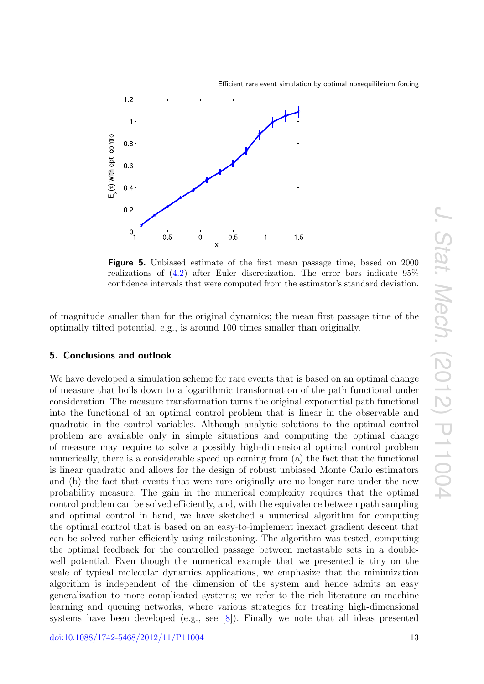

<span id="page-13-1"></span>

Figure 5. Unbiased estimate of the first mean passage time, based on 2000 realizations of [\(4.2\)](#page-12-2) after Euler discretization. The error bars indicate 95% confidence intervals that were computed from the estimator's standard deviation.

of magnitude smaller than for the original dynamics; the mean first passage time of the optimally tilted potential, e.g., is around 100 times smaller than originally.

#### <span id="page-13-0"></span>5. Conclusions and outlook

We have developed a simulation scheme for rare events that is based on an optimal change of measure that boils down to a logarithmic transformation of the path functional under consideration. The measure transformation turns the original exponential path functional into the functional of an optimal control problem that is linear in the observable and quadratic in the control variables. Although analytic solutions to the optimal control problem are available only in simple situations and computing the optimal change of measure may require to solve a possibly high-dimensional optimal control problem numerically, there is a considerable speed up coming from (a) the fact that the functional is linear quadratic and allows for the design of robust unbiased Monte Carlo estimators and (b) the fact that events that were rare originally are no longer rare under the new probability measure. The gain in the numerical complexity requires that the optimal control problem can be solved efficiently, and, with the equivalence between path sampling and optimal control in hand, we have sketched a numerical algorithm for computing the optimal control that is based on an easy-to-implement inexact gradient descent that can be solved rather efficiently using milestoning. The algorithm was tested, computing the optimal feedback for the controlled passage between metastable sets in a doublewell potential. Even though the numerical example that we presented is tiny on the scale of typical molecular dynamics applications, we emphasize that the minimization algorithm is independent of the dimension of the system and hence admits an easy generalization to more complicated systems; we refer to the rich literature on machine learning and queuing networks, where various strategies for treating high-dimensional systems have been developed (e.g., see [\[8\]](#page-16-28)). Finally we note that all ideas presented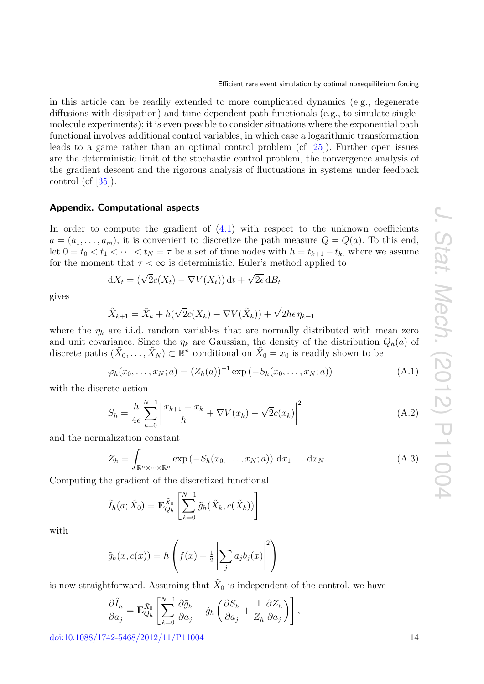in this article can be readily extended to more complicated dynamics (e.g., degenerate diffusions with dissipation) and time-dependent path functionals (e.g., to simulate singlemolecule experiments); it is even possible to consider situations where the exponential path functional involves additional control variables, in which case a logarithmic transformation leads to a game rather than an optimal control problem (cf [\[25\]](#page-16-29)). Further open issues are the deterministic limit of the stochastic control problem, the convergence analysis of the gradient descent and the rigorous analysis of fluctuations in systems under feedback control (cf  $[35]$ ).

# <span id="page-14-0"></span>Appendix. Computational aspects

In order to compute the gradient of  $(4.1)$  with respect to the unknown coefficients  $a = (a_1, \ldots, a_m)$ , it is convenient to discretize the path measure  $Q = Q(a)$ . To this end, let  $0 = t_0 < t_1 < \cdots < t_N = \tau$  be a set of time nodes with  $h = t_{k+1} - t_k$ , where we assume for the moment that  $\tau < \infty$  is deterministic. Euler's method applied to

$$
dX_t = (\sqrt{2}c(X_t) - \nabla V(X_t)) dt + \sqrt{2\epsilon} dB_t
$$

gives

$$
\tilde{X}_{k+1} = \tilde{X}_k + h(\sqrt{2}c(X_k) - \nabla V(\tilde{X}_k)) + \sqrt{2h\epsilon} \eta_{k+1}
$$

where the  $\eta_k$  are i.i.d. random variables that are normally distributed with mean zero and unit covariance. Since the  $\eta_k$  are Gaussian, the density of the distribution  $Q_h(a)$  of discrete paths  $(\tilde{X}_0,\ldots,\tilde{X}_N) \subset \mathbb{R}^n$  conditional on  $\tilde{X}_0 = x_0$  is readily shown to be

$$
\varphi_h(x_0, \dots, x_N; a) = (Z_h(a))^{-1} \exp(-S_h(x_0, \dots, x_N; a))
$$
\n(A.1)

with the discrete action

$$
S_h = \frac{h}{4\epsilon} \sum_{k=0}^{N-1} \left| \frac{x_{k+1} - x_k}{h} + \nabla V(x_k) - \sqrt{2}c(x_k) \right|^2
$$
 (A.2)

and the normalization constant

$$
Z_h = \int_{\mathbb{R}^n \times \dots \times \mathbb{R}^n} \exp(-S_h(x_0, \dots, x_N; a)) dx_1 \dots dx_N.
$$
 (A.3)

Computing the gradient of the discretized functional

$$
\tilde{I}_h(a; \tilde{X}_0) = \mathbf{E}_{Q_h}^{\tilde{X}_0} \left[ \sum_{k=0}^{N-1} \tilde{g}_h(\tilde{X}_k, c(\tilde{X}_k)) \right]
$$

with

$$
\tilde{g}_h(x, c(x)) = h\left(f(x) + \frac{1}{2} \left| \sum_j a_j b_j(x) \right|^2\right)
$$

is now straightforward. Assuming that  $\tilde{X}_0$  is independent of the control, we have

$$
\frac{\partial \tilde{I}_h}{\partial a_j} = \mathbf{E}_{Q_h}^{\tilde{X}_0} \left[ \sum_{k=0}^{N-1} \frac{\partial \tilde{g}_h}{\partial a_j} - \tilde{g}_h \left( \frac{\partial S_h}{\partial a_j} + \frac{1}{Z_h} \frac{\partial Z_h}{\partial a_j} \right) \right],
$$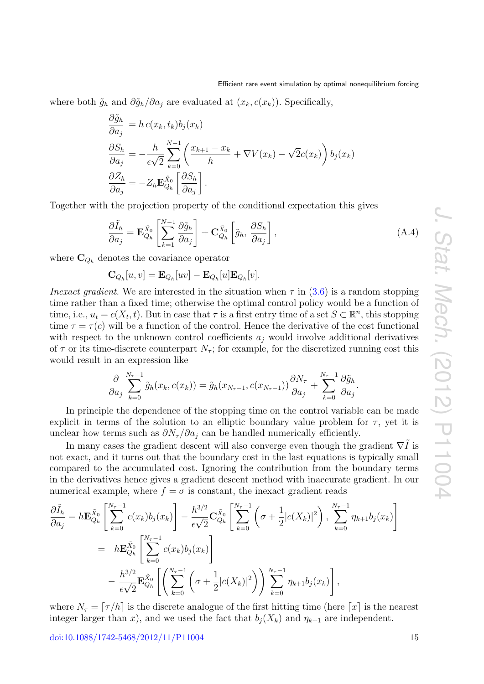where both  $\tilde{g}_h$  and  $\partial \tilde{g}_h / \partial a_i$  are evaluated at  $(x_k, c(x_k))$ . Specifically,

$$
\frac{\partial \tilde{g}_h}{\partial a_j} = h c(x_k, t_k) b_j(x_k)
$$
  
\n
$$
\frac{\partial S_h}{\partial a_j} = -\frac{h}{\epsilon \sqrt{2}} \sum_{k=0}^{N-1} \left( \frac{x_{k+1} - x_k}{h} + \nabla V(x_k) - \sqrt{2}c(x_k) \right) b_j(x_k)
$$
  
\n
$$
\frac{\partial Z_h}{\partial a_j} = -Z_h \mathbf{E}_{Q_h}^{\tilde{X}_0} \left[ \frac{\partial S_h}{\partial a_j} \right].
$$

Together with the projection property of the conditional expectation this gives

<span id="page-15-1"></span>
$$
\frac{\partial \tilde{I}_h}{\partial a_j} = \mathbf{E}_{Q_h}^{\tilde{X}_0} \left[ \sum_{k=1}^{N-1} \frac{\partial \tilde{g}_h}{\partial a_j} \right] + \mathbf{C}_{Q_h}^{\tilde{X}_0} \left[ \tilde{g}_h, \frac{\partial S_h}{\partial a_j} \right],\tag{A.4}
$$

where  $\mathbf{C}_{Q_h}$  denotes the covariance operator

 $\mathbf{C}_{Q_h}[u, v] = \mathbf{E}_{Q_h}[uv] - \mathbf{E}_{Q_h}[u] \mathbf{E}_{Q_h}[v].$ 

*Inexact gradient*. We are interested in the situation when  $\tau$  in [\(3.6\)](#page-7-2) is a random stopping time rather than a fixed time; otherwise the optimal control policy would be a function of time, i.e.,  $u_t = c(X_t, t)$ . But in case that  $\tau$  is a first entry time of a set  $S \subset \mathbb{R}^n$ , this stopping time  $\tau = \tau(c)$  will be a function of the control. Hence the derivative of the cost functional with respect to the unknown control coefficients  $a_i$  would involve additional derivatives of  $\tau$  or its time-discrete counterpart  $N_{\tau}$ ; for example, for the discretized running cost this would result in an expression like

$$
\frac{\partial}{\partial a_j} \sum_{k=0}^{N_{\tau}-1} \tilde{g}_h(x_k, c(x_k)) = \tilde{g}_h(x_{N_{\tau}-1}, c(x_{N_{\tau}-1})) \frac{\partial N_{\tau}}{\partial a_j} + \sum_{k=0}^{N_{\tau}-1} \frac{\partial \tilde{g}_h}{\partial a_j}.
$$

In principle the dependence of the stopping time on the control variable can be made explicit in terms of the solution to an elliptic boundary value problem for  $\tau$ , yet it is unclear how terms such as  $\partial N_{\tau}/\partial a_i$  can be handled numerically efficiently.

In many cases the gradient descent will also converge even though the gradient  $\nabla \tilde{I}$  is not exact, and it turns out that the boundary cost in the last equations is typically small compared to the accumulated cost. Ignoring the contribution from the boundary terms in the derivatives hence gives a gradient descent method with inaccurate gradient. In our numerical example, where  $f = \sigma$  is constant, the inexact gradient reads

$$
\frac{\partial \tilde{I}_{h}}{\partial a_{j}} = h \mathbf{E}_{Q_{h}}^{\tilde{X}_{0}} \left[ \sum_{k=0}^{N_{\tau}-1} c(x_{k}) b_{j}(x_{k}) \right] - \frac{h^{3/2}}{\epsilon \sqrt{2}} \mathbf{C}_{Q_{h}}^{\tilde{X}_{0}} \left[ \sum_{k=0}^{N_{\tau}-1} \left( \sigma + \frac{1}{2} |c(X_{k})|^{2} \right), \sum_{k=0}^{N_{\tau}-1} \eta_{k+1} b_{j}(x_{k}) \right]
$$
\n
$$
= h \mathbf{E}_{Q_{h}}^{\tilde{X}_{0}} \left[ \sum_{k=0}^{N_{\tau}-1} c(x_{k}) b_{j}(x_{k}) \right]
$$
\n
$$
- \frac{h^{3/2}}{\epsilon \sqrt{2}} \mathbf{E}_{Q_{h}}^{\tilde{X}_{0}} \left[ \left( \sum_{k=0}^{N_{\tau}-1} \left( \sigma + \frac{1}{2} |c(X_{k})|^{2} \right) \right) \sum_{k=0}^{N_{\tau}-1} \eta_{k+1} b_{j}(x_{k}) \right],
$$

<span id="page-15-0"></span>where  $N_{\tau} = [\tau/h]$  is the discrete analogue of the first hitting time (here  $\lceil x \rceil$  is the nearest integer larger than x), and we used the fact that  $b_i(X_k)$  and  $\eta_{k+1}$  are independent.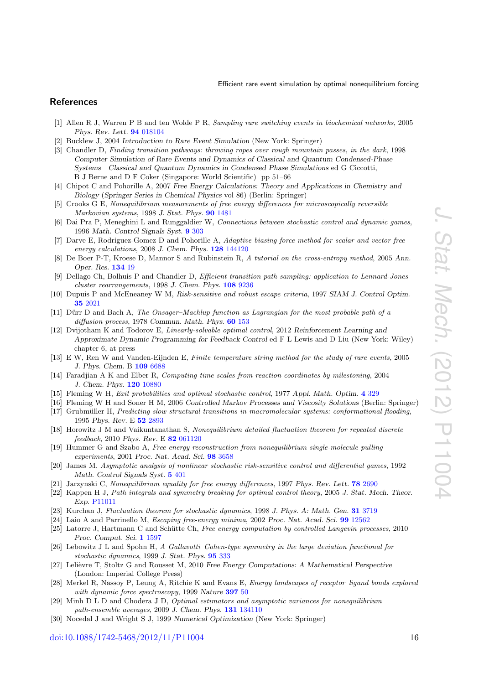# **References**

- <span id="page-16-6"></span>[1] Allen R J, Warren P B and ten Wolde P R, Sampling rare switching events in biochemical networks, 2005 Phys. Rev. Lett. [94](http://dx.doi.org/10.1103/PhysRevLett.94.018104) [018104](http://dx.doi.org/10.1103/PhysRevLett.94.018104)
- <span id="page-16-0"></span>[2] Bucklew J, 2004 Introduction to Rare Event Simulation (New York: Springer)
- <span id="page-16-3"></span>[3] Chandler D, Finding transition pathways: throwing ropes over rough mountain passes, in the dark, 1998 Computer Simulation of Rare Events and Dynamics of Classical and Quantum Condensed-Phase Systems—Classical and Quantum Dynamics in Condensed Phase Simulations ed G Ciccotti, B J Berne and D F Coker (Singapore: World Scientific) pp 51–66
- <span id="page-16-1"></span>[4] Chipot C and Pohorille A, 2007 Free Energy Calculations: Theory and Applications in Chemistry and Biology (Springer Series in Chemical Physics vol 86) (Berlin: Springer)
- <span id="page-16-11"></span>[5] Crooks G E, Nonequilibrium measurements of free energy differences for microscopically reversible Markovian systems, 1998 J. Stat. Phys. [90](http://dx.doi.org/10.1023/A:1023208217925) [1481](http://dx.doi.org/10.1023/A:1023208217925)
- <span id="page-16-19"></span>[6] Dai Pra P, Meneghini L and Runggaldier W, Connections between stochastic control and dynamic games, 1996 Math. Control Signals Syst. [9](http://dx.doi.org/10.1007/BF01211853) [303](http://dx.doi.org/10.1007/BF01211853)
- <span id="page-16-9"></span>[7] Darve E, Rodriguez-Gomez D and Pohorille A, Adaptive biasing force method for scalar and vector free energy calculations, 2008 J. Chem. Phys. [128](http://dx.doi.org/10.1063/1.2829861) [144120](http://dx.doi.org/10.1063/1.2829861)
- <span id="page-16-28"></span>[8] De Boer P-T, Kroese D, Mannor S and Rubinstein R, A tutorial on the cross-entropy method, 2005 Ann. Oper. Res. [134](http://dx.doi.org/10.1007/s10479-005-5724-z) [19](http://dx.doi.org/10.1007/s10479-005-5724-z)
- <span id="page-16-2"></span>[9] Dellago Ch, Bolhuis P and Chandler D, Efficient transition path sampling: application to Lennard-Jones cluster rearrangements, 1998 J. Chem. Phys. [108](http://dx.doi.org/10.1063/1.476378) [9236](http://dx.doi.org/10.1063/1.476378)
- <span id="page-16-25"></span>[10] Dupuis P and McEneaney W M, Risk-sensitive and robust escape criteria, 1997 SIAM J. Control Optim. [35](http://dx.doi.org/10.1137/S0363012995281626) [2021](http://dx.doi.org/10.1137/S0363012995281626)
- <span id="page-16-27"></span>[11] Dürr D and Bach A, The Onsager–Machlup function as Lagrangian for the most probable path of a diffusion process, 1978 Commun. Math. Phys. [60](http://dx.doi.org/10.1007/BF01609446) [153](http://dx.doi.org/10.1007/BF01609446)
- <span id="page-16-23"></span>[12] Dvijotham K and Todorov E, Linearly-solvable optimal control, 2012 Reinforcement Learning and Approximate Dynamic Programming for Feedback Control ed F L Lewis and D Liu (New York: Wiley) chapter 6, at press
- <span id="page-16-4"></span>[13] E W, Ren W and Vanden-Eijnden E, Finite temperature string method for the study of rare events, 2005 J. Phys. Chem. B [109](http://dx.doi.org/10.1021/jp0455430) [6688](http://dx.doi.org/10.1021/jp0455430)
- <span id="page-16-5"></span>[14] Faradjian A K and Elber R, Computing time scales from reaction coordinates by milestoning, 2004 J. Chem. Phys. [120](http://dx.doi.org/10.1063/1.1738640) [10880](http://dx.doi.org/10.1063/1.1738640)
- <span id="page-16-21"></span>[15] Fleming W H, Exit probabilities and optimal stochastic control, 1977 Appl. Math. Optim. [4](http://dx.doi.org/10.1007/BF01442148) [329](http://dx.doi.org/10.1007/BF01442148)
- <span id="page-16-20"></span>[16] Fleming W H and Soner H M, 2006 Controlled Markov Processes and Viscosity Solutions (Berlin: Springer)
- <span id="page-16-8"></span>[17] Grubmüller H, Predicting slow structural transitions in macromolecular systems: conformational flooding, 1995 Phys. Rev. E [52](http://dx.doi.org/10.1103/PhysRevE.52.2893) [2893](http://dx.doi.org/10.1103/PhysRevE.52.2893)
- <span id="page-16-24"></span>[18] Horowitz J M and Vaikuntanathan S, Nonequilibrium detailed fluctuation theorem for repeated discrete feedback, 2010 Phys. Rev. E [82](http://dx.doi.org/10.1103/PhysRevE.82.061120) [061120](http://dx.doi.org/10.1103/PhysRevE.82.061120)
- <span id="page-16-13"></span>[19] Hummer G and Szabo A, Free energy reconstruction from nonequilibrium single-molecule pulling experiments, 2001 Proc. Nat. Acad. Sci. [98](http://dx.doi.org/10.1073/pnas.071034098) [3658](http://dx.doi.org/10.1073/pnas.071034098)
- <span id="page-16-18"></span>[20] James M, Asymptotic analysis of nonlinear stochastic risk-sensitive control and differential games, 1992 Math. Control Signals Syst. [5](http://dx.doi.org/10.1007/BF02134013) [401](http://dx.doi.org/10.1007/BF02134013)
- <span id="page-16-10"></span>[21] Jarzynski C, Nonequilibrium equality for free energy differences, 1997 Phys. Rev. Lett. **[78](http://dx.doi.org/10.1103/PhysRevLett.78.2690)** [2690](http://dx.doi.org/10.1103/PhysRevLett.78.2690)
- <span id="page-16-22"></span>[22] Kappen H J, Path integrals and symmetry breaking for optimal control theory, 2005 J. Stat. Mech. Theor. Exp. [P11011](http://dx.doi.org/10.1088/1742-5468/2005/11/P11011)
- <span id="page-16-15"></span>[23] Kurchan J, Fluctuation theorem for stochastic dynamics, 1998 J. Phys. A: Math. Gen. [31](http://dx.doi.org/10.1088/0305-4470/31/16/003) [3719](http://dx.doi.org/10.1088/0305-4470/31/16/003)
- <span id="page-16-7"></span>[24] Laio A and Parrinello M, Escaping free-energy minima, 2002 Proc. Nat. Acad. Sci. [99](http://dx.doi.org/10.1073/pnas.202427399) [12562](http://dx.doi.org/10.1073/pnas.202427399)
- <span id="page-16-29"></span>[25] Latorre J, Hartmann C and Schütte Ch, Free energy computation by controlled Langevin processes, 2010 Proc. Comput. Sci. [1](http://dx.doi.org/10.1016/j.procs.2010.04.179) [1597](http://dx.doi.org/10.1016/j.procs.2010.04.179)
- <span id="page-16-16"></span>[26] Lebowitz J L and Spohn H, A Gallavotti–Cohen-type symmetry in the large deviation functional for stochastic dynamics, 1999 J. Stat. Phys. [95](http://dx.doi.org/10.1023/A:1004589714161) [333](http://dx.doi.org/10.1023/A:1004589714161)
- <span id="page-16-17"></span>[27] Lelièvre T, Stoltz G and Rousset M, 2010 Free Energy Computations: A Mathematical Perspective (London: Imperial College Press)
- <span id="page-16-12"></span>[28] Merkel R, Nassoy P, Leung A, Ritchie K and Evans E, Energy landscapes of receptor-ligand bonds explored with dynamic force spectroscopy, 1999 Nature [397](http://dx.doi.org/10.1038/16219) [50](http://dx.doi.org/10.1038/16219)
- <span id="page-16-14"></span>[29] Minh D L D and Chodera J D, Optimal estimators and asymptotic variances for nonequilibrium path-ensemble averages, 2009 J. Chem. Phys. [131](http://dx.doi.org/10.1063/1.3242285) [134110](http://dx.doi.org/10.1063/1.3242285)
- <span id="page-16-26"></span>[30] Nocedal J and Wright S J, 1999 Numerical Optimization (New York: Springer)